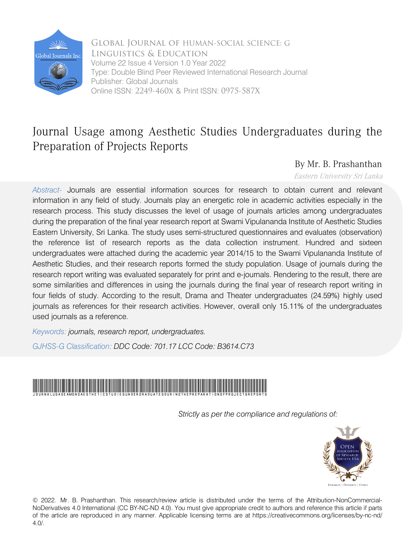

 Online ISSN: 2249-460x & Print ISSN: 0975-587X Global Journal of HUMAN-SOCIAL SCIENCE: G Linguistics & Education Volume 22 Issue 4 Version 1.0 Year 2022 Type: Double Blind Peer Reviewed International Research Journal Publisher: Global Journals

## Journal Usage among Aesthetic Studies Undergraduates during the Preparation of Projects Reports

### By Mr. B. Prashanthan

Eastern University Sri Lanka

*Abstract-* Journals are essential information sources for research to obtain current and relevant information in any field of study. Journals play an energetic role in academic activities especially in the research process. This study discusses the level of usage of journals articles among undergraduates during the preparation of the final year research report at Swami Vipulananda Institute of Aesthetic Studies Eastern University, Sri Lanka. The study uses semi-structured questionnaires and evaluates (observation) the reference list of research reports as the data collection instrument. Hundred and sixteen undergraduates were attached during the academic year 2014/15 to the Swami Vipulananda Institute of Aesthetic Studies, and their research reports formed the study population. Usage of journals during the research report writing was evaluated separately for print and e-journals. Rendering to the result, there are some similarities and differences in using the journals during the final year of research report writing in four fields of study. According to the result, Drama and Theater undergraduates (24.59%) highly used journals as references for their research activities. However, overall only 15.11% of the undergraduates used journals as a reference.

*Keywords: journals, research report, undergraduates.*

*GJHSS-G Classification: DDC Code: 701.17 LCC Code: B3614.C73*



*Strictly as per the compliance and regulations of:*



© 2022. Mr. B. Prashanthan. This research/review article is distributed under the terms of the Attribution-NonCommercial-NoDerivatives 4.0 International (CC BY-NC-ND 4.0). You must give appropriate credit to authors and reference this article if parts of the article are reproduced in any manner. Applicable licensing terms are at https://creativecommons.org/licenses/by-nc-nd/ 4.0/.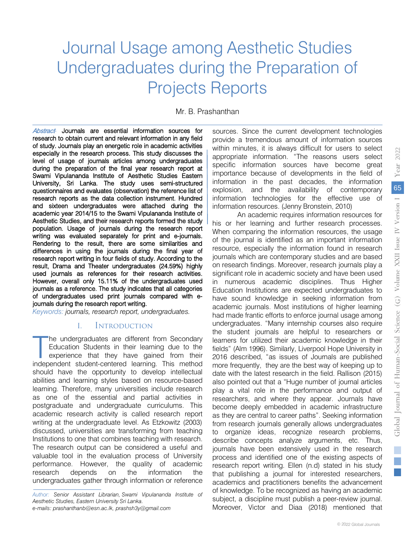# Journal Usage among Aesthetic Studies Undergraduates during the Preparation of Projects Reports

Mr. B. Prashanthan

Abstract*-* Journals are essential information sources for research to obtain current and relevant information in any field of stu[dy. Journals play an en](mailto:prashanthanb@esn.ac.lk)[ergetic role in academ](mailto:prashsh3y@gmail.com)ic activities especially in the research process. This study discusses the level of usage of journals articles among undergraduates during the preparation of the final year research report at Swami Vipulananda Institute of Aesthetic Studies Eastern University, Sri Lanka. The study uses semi-structured questionnaires and evaluates (observation) the reference list of research reports as the data collection instrument. Hundred and sixteen undergraduates were attached during the academic year 2014/15 to the Swami Vipulananda Institute of Aesthetic Studies, and their research reports formed the study population. Usage of journals during the research report writing was evaluated separately for print and e-journals. Rendering to the result, there are some similarities and differences in using the journals during the final year of research report writing in four fields of study. According to the result, Drama and Theater undergraduates (24.59%) highly used journals as references for their research activities. However, overall only 15.11% of the undergraduates used journals as a reference. The study indicates that all categories of undergraduates used print journals compared with ejournals during the research report writing.

*Keywords: journals, research report, undergraduates.*

#### I. Introduction

he undergraduates are different from Secondary Education Students in their learning due to the experience that they have gained from their The undergraduates are different from Secondary<br>
Education Students in their learning due to the<br>
experience that they have gained from their<br>
independent student-centered learning. This method should have the opportunity to develop intellectual abilities and learning styles based on resource-based learning. Therefore, many universities include research as one of the essential and partial activities in postgraduate and undergraduate curriculums. This academic research activity is called research report writing at the undergraduate level. As Etzkowitz (2003) discussed, universities are transforming from teaching Institutions to one that combines teaching with research. The research output can be considered a useful and valuable tool in the evaluation process of University performance. However, the quality of academic research depends on the information the undergraduates gather through information or reference

*Author: Senior Assistant Librarian, Swami Vipulananda Institute of Aesthetic Studies, Eastern University Sri Lanka.* 

*e-mails: prashanthanb@esn.ac.lk, prashsh3y@gmail.com* 

sources. Since the current development technologies provide a tremendous amount of information sources within minutes, it is always difficult for users to select appropriate information. "The reasons users select specific information sources have become great importance because of developments in the field of information in the past decades, the information explosion, and the availability of contemporary information technologies for the effective use of information resources. (Jenny Bronstein, 2010)

An academic requires information resources for his or her learning and further research processes. When comparing the information resources, the usage of the journal is identified as an important information resource, especially the information found in research journals which are contemporary studies and are based on research findings. Moreover, research journals play a significant role in academic society and have been used in numerous academic disciplines. Thus Higher Education Institutions are expected undergraduates to have sound knowledge in seeking information from academic journals. Most institutions of higher learning had made frantic efforts to enforce journal usage among undergraduates. "Many internship courses also require the student journals are helpful to researchers or learners for utilized their academic knowledge in their fields" (Alm 1996). Similarly, Liverpool Hope University in 2016 described, "as issues of Journals are published more frequently, they are the best way of keeping up to date with the latest research in the field. Rallison (2015) also pointed out that a "Huge number of journal articles play a vital role in the performance and output of researchers, and where they appear. Journals have become deeply embedded in academic infrastructure as they are central to career paths". Seeking information from research journals generally allows undergraduates to organize ideas, recognize research problems, describe concepts analyze arguments, etc. Thus, journals have been extensively used in the research process and identified one of the existing aspects of research report writing. Ellen (n.d) stated in his study that publishing a journal for interested researchers, academics and practitioners benefits the advancement of knowledge. To be recognized as having an academic subject, a discipline must publish a peer-review journal. Moreover, Victor and Diaa (2018) mentioned that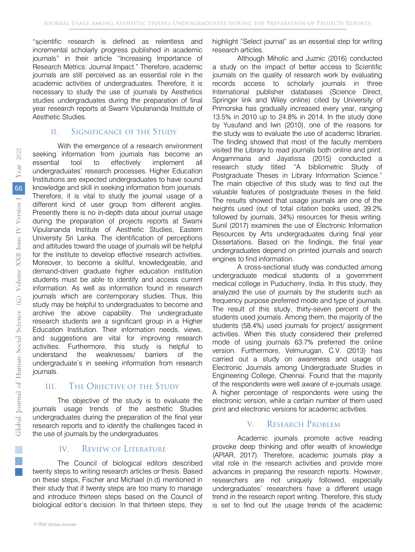"scientific research is defined as relentless and incremental scholarly progress published in academic journals" in their article "Increasing Importance of Research Metrics: Journal Impact." Therefore, academic journals are still perceived as an essential role in the academic activities of undergraduates. Therefore, it is necessary to study the use of journals by Aesthetics studies undergraduates during the preparation of final year research reports at Swami Vipulananda Institute of Aesthetic Studies.

#### II. Significance of the Study

With the emergence of a research environment seeking information from journals has become an essential tool to effectively implement all undergraduates' research processes. Higher Education Institutions are expected undergraduates to have sound knowledge and skill in seeking information from journals. Therefore, it is vital to study the journal usage of a different kind of user group from different angles. Presently there is no in-depth data about journal usage during the preparation of projects reports at Swami Vipulananda Institute of Aesthetic Studies, Eastern University Sri Lanka. The identification of perceptions and attitudes toward the usage of journals will be helpful for the institute to develop effective research activities. Moreover, to become a skillful, knowledgeable, and demand-driven graduate higher education institution students must be able to identify and access current information. As well as information found in research journals which are contemporary studies. Thus, this study may be helpful to undergraduates to become and archive the above capability. The undergraduate research students are a significant group in a Higher Education Institution. Their information needs, views, and suggestions are vital for improving research activities. Furthermore, this study is helpful to understand the weaknesses/ barriers of the undergraduate's in seeking information from research journals.

#### III. The Objective of the Study

The objective of the study is to evaluate the journals usage trends of the aesthetic Studies undergraduates during the preparation of the final year research reports and to identify the challenges faced in the use of journals by the undergraduates.

#### IV. Review of Literature

The Council of biological editors described twenty steps to writing research articles or thesis. Based on these steps, Fischer and Michael (n.d) mentioned in their study that if twenty steps are too many to manage and introduce thirteen steps based on the Council of biological editor's decision. In that thirteen steps, they

highlight "Select journal" as an essential step for writing research articles.

Although Miholic and Juznic (2016) conducted a study on the impact of better access to Scientific journals on the quality of research work by evaluating records access to scholarly journals in three International publisher databases (Science Direct, Springer link and Wiley online) cited by University of Primorska has gradually increased every year, ranging 13.5% in 2010 up to 24.8% in 2014. In the study done by Yusufand and Iwn (2010), one of the reasons for the study was to evaluate the use of academic libraries. The finding showed that most of the faculty members visited the Library to read journals both online and print. Angammana and Jayatissa (2015) conducted a research study titled "A bibliometric Study of Postgraduate Theses in Library Information Science." The main objective of this study was to find out the valuable features of postgraduate theses in the field. The results showed that usage journals are one of the heights used (out of total citation books used, 39.2% followed by journals, 34%) resources for thesis writing. Sunil (2017) examines the use of Electronic Information Resources by Arts undergraduates during final year Dissertations. Based on the findings, the final year undergraduates depend on printed journals and search engines to find information.

A cross-sectional study was conducted among undergraduate medical students of a government medical college in Puducherry, India. In this study, they analyzed the use of journals by the students such as frequency purpose preferred mode and type of journals. The result of this study, thirty-seven percent of the students used journals. Among them, the majority of the students (58.4%) used journals for project/ assignment activities. When this study considered their preferred mode of using journals 63.7% preferred the online version. Furthermore, Velmurugan, C.V. (2013) has carried out a study on awareness and usage of Electronic Journals among Undergraduate Studies in Engineering College, Chennai. Found that the majority of the respondents were well aware of e-journals usage. A higher percentage of respondents were using the electronic version, while a certain number of them used print and electronic versions for academic activities.

#### V. Research Problem

Academic journals promote active reading provoke deep thinking and offer wealth of knowledge (APIAR, 2017). Therefore, academic journals play a vital role in the research activities and provide more advances in preparing the research reports. However, researchers are not uniquely followed, especially undergraduates' researchers have a different usage trend in the research report writing. Therefore, this study is set to find out the usage trends of the academic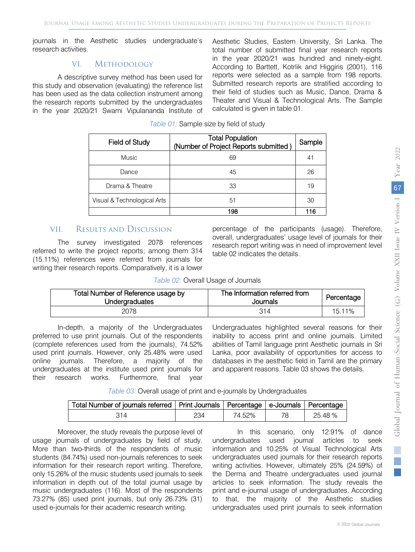journals in the Aesthetic studies undergraduate's research activities.

#### VI. Methodology

A descriptive survey method has been used for this study and observation (evaluating) the reference list has been used as the data collection instrument among the research reports submitted by the undergraduates in the year 2020/21 Swami Vipulananda Institute of

Aesthetic Studies, Eastern University, Sri Lanka. The total number of submitted final year research reports in the year 2020/21 was hundred and ninety-eight. According to Barttett, Kotrlik and Higgiris (2001), 116 reports were selected as a sample from 198 reports. Submitted research reports are stratified according to their field of studies such as Music, Dance, Drama & Theater and Visual & Technological Arts. The Sample calculated is given in table 01.

| <b>Field of Study</b>       | <b>Total Population</b><br>(Number of Project Reports submitted) | Sample |
|-----------------------------|------------------------------------------------------------------|--------|
| <b>Music</b>                | 69                                                               | 41     |
| Dance                       | 45                                                               | 26     |
| Drama & Theatre             | 33                                                               | 19     |
| Visual & Technological Arts | 51                                                               | 30     |
|                             | 198                                                              | 116    |

#### VII. Results and Discussion

The survey investigated 2078 references referred to write the project reports; among them 314 (15.11%) references were referred from journals for writing their research reports. Comparatively, it is a lower percentage of the participants (usage). Therefore, overall, undergraduates' usage level of journals for their research report writing was in need of improvement level table 02 indicates the details.

#### *Table 02:* Overall Usage of Journals

| Total Number of Reference usage by<br><b>Undergraduates</b> | The Information referred from<br>Journals | Percentage |
|-------------------------------------------------------------|-------------------------------------------|------------|
| 2078                                                        | 314                                       | 15.11%     |

In-depth, a majority of the Undergraduates preferred to use print journals. Out of the respondents (complete references used from the journals), 74.52% used print journals. However, only 25.48% were used online journals. Therefore, a majority of the undergraduates at the institute used print journals for their research works. Furthermore, final year Undergraduates highlighted several reasons for their inability to access print and online journals. Limited abilities of Tamil language print Aesthetic journals in Sri Lanka, poor availability of opportunities for access to databases in the aesthetic field in Tamil are the primary and apparent reasons. Table 03 shows the details.

*Table 03:* Overall usage of print and e-journals by Undergraduates

| Total Number of journals referred   Print Journals   Percentage   e-Journals   Percentage |     |        |         |
|-------------------------------------------------------------------------------------------|-----|--------|---------|
|                                                                                           | 234 | 74.52% | 25.48 % |

Moreover, the study reveals the purpose level of usage journals of undergraduates by field of study. More than two-thirds of the respondents of music students (84.74%) used non-journals references to seek information for their research report writing. Therefore, only 15.26% of the music students used journals to seek information in depth out of the total journal usage by music undergraduates (116). Most of the respondents 73.27% (85) used print journals, but only 26.73% (31) used e-journals for their academic research writing.

In this scenario, only 12.91% of dance undergraduates used journal articles to seek information and 10.25% of Visual Technological Arts undergraduates used journals for their research reports writing activities. However, ultimately 25% (24.59%) of the Derma and Theatre undergraduates used journal articles to seek information. The study reveals the print and e-journal usage of undergraduates. According to that, the majority of the Aesthetic studies undergraduates used print journals to seek information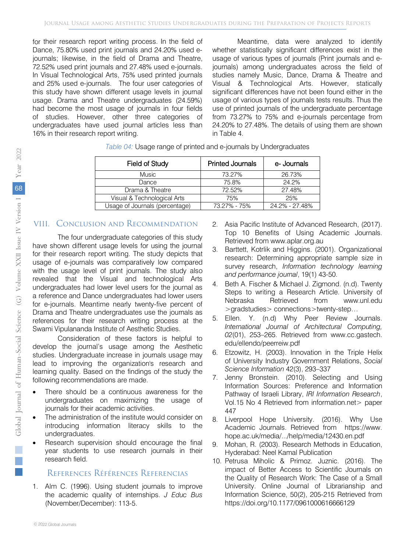for their research report writing process. In the field of Dance, 75.80% used print journals and 24.20% used ejournals; likewise, in the field of Drama and Theatre, 72.52% used print journals and 27.48% used e-journals. In Visual Technological Arts, 75% used printed journals and 25% used e-journals. The four user categories of this study have shown different usage levels in journal usage. Drama and Theatre undergraduates (24.59%) had become the most usage of journals in four fields of studies. However, other three categories of undergraduates have used journal articles less than 16% in their research report writing.

Meantime, data were analyzed to identify whether statistically significant differences exist in the usage of various types of journals (Print journals and ejournals) among undergraduates across the field of studies namely Music, Dance, Drama & Theatre and Visual & Technological Arts. However, statically significant differences have not been found either in the usage of various types of journals tests results. Thus the use of printed journals of the undergraduate percentage from 73.27% to 75% and e-journals percentage from 24.20% to 27.48%. The details of using them are shown in Table 4.

|  |  | Table 04: Usage range of printed and e-journals by Undergraduates |
|--|--|-------------------------------------------------------------------|
|  |  |                                                                   |

| <b>Field of Study</b>          | <b>Printed Journals</b> | e- Journals    |
|--------------------------------|-------------------------|----------------|
| <b>Music</b>                   | 73.27%                  | 26.73%         |
| Dance                          | 75.8%                   | 24.2%          |
| Drama & Theatre                | 72.52%                  | 27.48%         |
| Visual & Technological Arts    | 75%                     | 25%            |
| Usage of Journals (percentage) | 73.27% - 75%            | 24.2% - 27.48% |

#### VIII. Conclusion and Recommendation

The four undergraduate categories of this study have shown different usage levels for using the journal for their research report writing. The study depicts that usage of e-journals was comparatively low compared with the usage level of print journals. The study also revealed that the Visual and technological Arts undergraduates had lower level users for the journal as a reference and Dance undergraduates had lower users for e-journals. Meantime nearly twenty-five percent of Drama and Theatre undergraduates use the journals as references for their research writing process at the Swami Vipulananda Institute of Aesthetic Studies.

Consideration of these factors is helpful to develop the journal's usage among the Aesthetic studies. Undergraduate increase in journals usage may lead to improving the organization's research and learning quality. Based on the findings of the study the following recommendations are made.

- There should be a continuous awareness for the undergraduates on maximizing the usage of journals for their academic activities.
- The administration of the institute would consider on introducing information literacy skills to the undergraduates.
- Research supervision should encourage the final year students to use research journals in their research field.

#### References Références Referencias

1. Alm C. (1996). Using student journals to improve the academic quality of internships. *J Educ Bus*  (November/December): 113-5.

- 2. Asia Pacific Institute of Advanced Research, (2017). Top 10 Benefits of Using Academic Journals. Retrieved from [www.aplar.org.au](http://www.aplar.org.au/)
- 3. Barttett, Kotrlik and Higgins. (2001). Organizational research: Determining appropriate sample size in survey research, *Information technology learning and performance journal*, 19(1) 43-50.
- 4. Beth A. Fischer & Michael J. Zigmond. (n.d). Twenty Steps to writing a Research Article. University of Nebraska Retrieved from www.unl.edu >gradstudies> connections>twenty-step…
- 5. Ellen. Y. (n.d) Why Peer Review Journals. *International Journal of Architectural Computing, 02*(01), 253–265. Retrieved from www.cc.gastech. edu/ellendo/peerreiw.pdf
- 6. Etzowitz, H. (2003). Innovation in the Triple Helix of University Industry Government Relations, *Social Science Information* 42(3), 293–337
- 7. Jenny Bronstein. (2010). Selecting and Using Information Sources: Preference and Information Pathway of Israeli Library, *IRI Information Research*, Vol.15 No 4 Retrieved from information.net > paper 447
- 8. Liverpool Hope University. (2016). Why Use Academic Journals. Retrieved from https://www. hope.ac.uk/media/.../help/media/12430.en.pdf
- 9. Mohan, R. (2003). Research Methods in Education, Hyderabad: Neel Kamal Publication
- 10. Petrusa Miholic & Primoz. Juznic. (2016). The impact of Better Access to Scientific Journals on the Quality of Research Work: The Case of a Small University. Online Journal of Librarianship and Information Science, 50(2), 205-215 Retrieved from https://doi.org/10.1177/0961000616666129